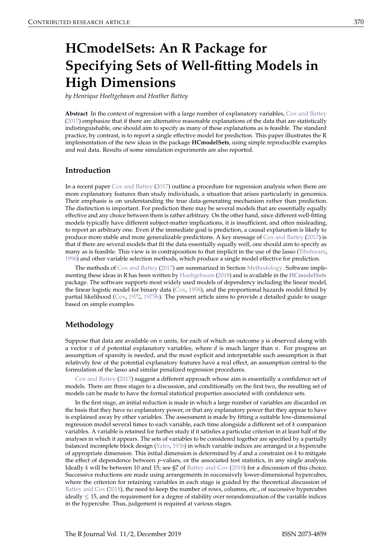# <span id="page-0-2"></span><span id="page-0-1"></span>**HCmodelSets: An R Package for Specifying Sets of Well-fitting Models in High Dimensions**

*by Henrique Hoeltgebaum and Heather Battey*

**Abstract** In the context of regression with a large number of explanatory variables, [Cox and Battey](#page-8-0) [\(2017\)](#page-8-0) emphasize that if there are alternative reasonable explanations of the data that are statistically indistinguishable, one should aim to specify as many of these explanations as is feasible. The standard practice, by contrast, is to report a single effective model for prediction. This paper illustrates the R implementation of the new ideas in the package **HCmodelSets**, using simple reproducible examples and real data. Results of some simulation experiments are also reported.

# **Introduction**

In a recent paper [Cox and Battey](#page-8-0) [\(2017\)](#page-8-0) outline a procedure for regression analysis when there are more explanatory features than study individuals, a situation that arises particularly in genomics. Their emphasis is on understanding the true data-generating mechanism rather than prediction. The distinction is important. For prediction there may be several models that are essentially equally effective and any choice between them is rather arbitrary. On the other hand, since different well-fitting models typically have different subject-matter implications, it is insufficient, and often misleading, to report an arbitrary one. Even if the immediate goal is prediction, a causal explanation is likely to produce more stable and more generalizable predictions. A key message of [Cox and Battey](#page-8-0) [\(2017\)](#page-8-0) is that if there are several models that fit the data essentially equally well, one should aim to specify as many as is feasible. This view is in contraposition to that implicit in the use of the lasso [\(Tibshirani,](#page-9-0) [1996\)](#page-9-0) and other variable selection methods, which produce a single model effective for prediction.

The methods of [Cox and Battey](#page-8-0) [\(2017\)](#page-8-0) are summarized in Section [Methodology.](#page-0-0) Software implementing these ideas in R has been written by [Hoeltgebaum](#page-8-1) [\(2018\)](#page-8-1) and is available in the **[HCmodelSets](https://CRAN.R-project.org/package=HCmodelSets)** package. The software supports most widely used models of dependency including the linear model, the linear logistic model for binary data [\(Cox,](#page-8-2) [1958\)](#page-8-2), and the proportional hazards model fitted by partial likelihood [\(Cox,](#page-8-3) [1972,](#page-8-3) [1975b\)](#page-8-4). The present article aims to provide a detailed guide to usage based on simple examples.

# <span id="page-0-0"></span>**Methodology**

Suppose that data are available on *n* units, for each of which an outcome *y* is observed along with a vector *x* of *d* potential explanatory variables, where *d* is much larger than *n*. For progress an assumption of sparsity is needed, and the most explicit and interpretable such assumption is that relatively few of the potential explanatory features have a real effect, an assumption central to the formulation of the lasso and similar penalized regression procedures.

[Cox and Battey](#page-8-0) [\(2017\)](#page-8-0) suggest a different approach whose aim is essentially a confidence set of models. There are three stages to a discussion, and conditionally on the first two, the resulting set of models can be made to have the formal statistical properties associated with confidence sets.

In the first stage, an initial reduction is made in which a large number of variables are discarded on the basis that they have no explanatory power, or that any explanatory power that they appear to have is explained away by other variables. The assessment is made by fitting a suitable low-dimensional regression model several times to each variable, each time alongside a different set of *k* companion variables. A variable is retained for further study if it satisfies a particular criterion in at least half of the analyses in which it appears. The sets of variables to be considered together are specified by a partially balanced incomplete block design [\(Yates,](#page-9-1) [1936\)](#page-9-1) in which variable indices are arranged in a hypercube of appropriate dimension. This initial dimension is determined by *d* and a constraint on *k* to mitigate the effect of dependence between *p*-values, or the associated test statistics, in any single analysis. Ideally *k* will be between 10 and 15; see §7 of [Battey and Cox](#page-8-5) [\(2018\)](#page-8-5) for a discussion of this choice. Successive reductions are made using arrangements in successively lower-dimensional hypercubes, where the criterion for retaining variables in each stage is guided by the theoretical discussion of [Battey and Cox](#page-8-5) [\(2018\)](#page-8-5), the need to keep the number of rows, columns, etc., of successive hypercubes ideally  $\leq 15$ , and the requirement for a degree of stability over rerandomization of the variable indices in the hypercube. Thus, judgement is required at various stages.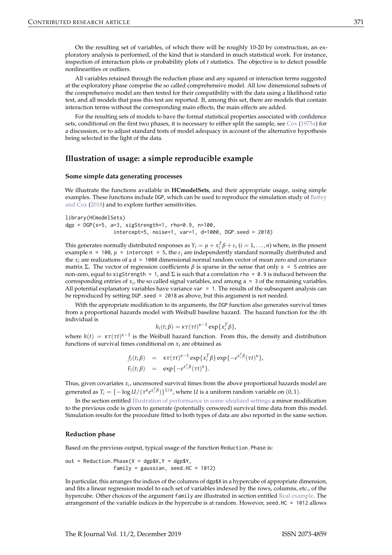<span id="page-1-1"></span>On the resulting set of variables, of which there will be roughly 10-20 by construction, an exploratory analysis is performed, of the kind that is standard in much statistical work. For instance, inspection of interaction plots or probability plots of *t* statistics. The objective is to detect possible nonlinearities or outliers.

All variables retained through the reduction phase and any squared or interaction terms suggested at the exploratory phase comprise the so called comprehensive model. All low dimensional subsets of the comprehensive model are then tested for their compatibility with the data using a likelihood ratio test, and all models that pass this test are reported. If, among this set, there are models that contain interaction terms without the corresponding main effects, the main effects are added.

For the resulting sets of models to have the formal statistical properties associated with confidence sets, conditional on the first two phases, it is necessary to either split the sample, see [Cox](#page-8-6) [\(1975a\)](#page-8-6) for a discussion, or to adjust standard tests of model adequacy in account of the alternative hypothesis being selected in the light of the data.

## **Illustration of usage: a simple reproducible example**

## <span id="page-1-0"></span>**Some simple data generating processes**

We illustrate the functions available in **HCmodelSets**, and their appropriate usage, using simple examples. These functions include DGP, which can be used to reproduce the simulation study of [Battey](#page-8-5) [and Cox](#page-8-5) [\(2018\)](#page-8-5) and to explore further sensitivities.

```
library(HCmodelSets)
dgp = DGP(s=5, a=3, sigStrength=1, rho=0.9, n=100,
                intercept=5, noise=1, var=1, d=1000, DGP.seed = 2018)
```
This generates normally distributed responses as  $Y_i = \mu + x_i^T \beta + \varepsilon_i$  ( $i = 1, ..., n$ ) where, in the present example n = 100,  $\mu$  = intercept = 5, the  $\varepsilon_i$  are independently standard normally distributed and the  $x_i$  are realizations of a d = 1000 dimensional normal random vector of mean zero and covariance matrix Σ. The vector of regression coefficients  $β$  is sparse in the sense that only s = 5 entries are non-zero, equal to sigStrength = 1, and  $\Sigma$  is such that a correlation rho = 0.9 is induced between the corresponding entries of  $x_i$ , the so called signal variables, and among  $a = 3$  of the remaining variables. All potential explanatory variables have variance var  $= 1$ . The results of the subsequent analysis can be reproduced by setting DGP. seed = 2018 as above, but this argument is not needed.

With the appropriate modification to its arguments, the DGP function also generates survival times from a proportional hazards model with Weibull baseline hazard. The hazard function for the *i*th individual is

$$
h_i(t;\beta) = \kappa \tau(\tau t)^{\kappa-1} \exp\{x_i^T \beta\},\
$$

where  $h(t) = \kappa \tau(\tau t)^{\kappa-1}$  is the Weibull hazard function. From this, the density and distribution functions of survival times conditional on  $x_i$  are obtained as

$$
f_i(t;\beta) = \kappa \tau(\tau t)^{\kappa-1} \exp\{x_i^T \beta\} \exp\{-e^{x_i^T \beta} (\tau t)^{\kappa}\},
$$
  

$$
F_i(t;\beta) = \exp\{-e^{x_i^T \beta} (\tau t)^{\kappa}\}.
$$

Thus, given covariates *x<sup>i</sup>* , uncensored survival times from the above proportional hazards model are generated as  $T_i = \{-\log U/(\tau^k e^{x_i^T \beta})\}^{1/\kappa}$ , where *U* is a uniform random variable on  $(0, 1)$ .

In the section entitled [Illustration of performance in some idealized settings](#page-4-0) a minor modification to the previous code is given to generate (potentially censored) survival time data from this model. Simulation results for the procedure fitted to both types of data are also reported in the same section.

#### **Reduction phase**

Based on the previous output, typical usage of the function Reduction.Phase is:

out = Reduction. Phase( $X = dgp$ \$X,  $Y = dgp$ \$Y, family = gaussian, seed.HC =  $1012$ )

In particular, this arranges the indices of the columns of dgp\$X in a hypercube of appropriate dimension, and fits a linear regression model to each set of variables indexed by the rows, columns, etc., of the hypercube. Other choices of the argument family are illustrated in section entitled [Real example.](#page-5-0) The arrangement of the variable indices in the hypercube is at random. However, seed.HC = 1012 allows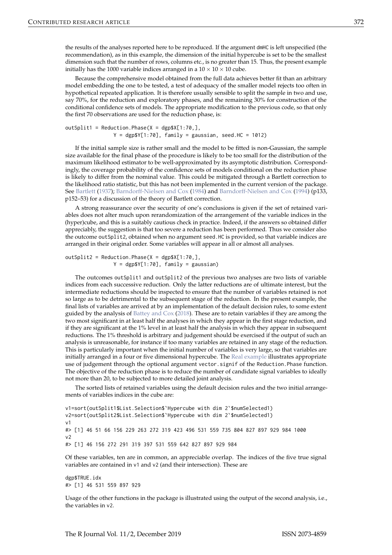<span id="page-2-0"></span>the results of the analyses reported here to be reproduced. If the argument dmHC is left unspecified (the recommendation), as in this example, the dimension of the initial hypercube is set to be the smallest dimension such that the number of rows, columns etc., is no greater than 15. Thus, the present example initially has the 1000 variable indices arranged in a  $10 \times 10 \times 10$  cube.

Because the comprehensive model obtained from the full data achieves better fit than an arbitrary model embedding the one to be tested, a test of adequacy of the smaller model rejects too often in hypothetical repeated application. It is therefore usually sensible to split the sample in two and use, say 70%, for the reduction and exploratory phases, and the remaining 30% for construction of the conditional confidence sets of models. The appropriate modification to the previous code, so that only the first 70 observations are used for the reduction phase, is:

```
outSplit1 = Reduction. Phase(X = \text{deg}X[1:70,],
                Y = dgp$Y[1:70], family = gaussian, seed.HC = 1012
```
If the initial sample size is rather small and the model to be fitted is non-Gaussian, the sample size available for the final phase of the procedure is likely to be too small for the distribution of the maximum likelihood estimator to be well-approximated by its asymptotic distribution. Correspondingly, the coverage probability of the confidence sets of models conditional on the reduction phase is likely to differ from the nominal value. This could be mitigated through a Bartlett correction to the likelihood ratio statistic, but this has not been implemented in the current version of the package. See [Bartlett](#page-8-7) [\(1937\)](#page-8-7); [Barndorff-Nielsen and Cox](#page-8-9) [\(1984\)](#page-8-8) and Barndorff-Nielsen and Cox [\(1994\)](#page-8-9) (p133, p152–53) for a discussion of the theory of Bartlett correction.

A strong reassurance over the security of one's conclusions is given if the set of retained variables does not alter much upon rerandomization of the arrangement of the variable indices in the (hyper)cube, and this is a suitably cautious check in practice. Indeed, if the answers so obtained differ appreciably, the suggestion is that too severe a reduction has been performed. Thus we consider also the outcome outSplit2, obtained when no argument seed.HC is provided, so that variable indices are arranged in their original order. Some variables will appear in all or almost all analyses.

outSplit2 = Reduction. Phase( $X = \text{deg}X[1:70,$ ],  $Y = \text{degyY}[1:70]$ , family = gaussian)

The outcomes outSplit1 and outSplit2 of the previous two analyses are two lists of variable indices from each successive reduction. Only the latter reductions are of ultimate interest, but the intermediate reductions should be inspected to ensure that the number of variables retained is not so large as to be detrimental to the subsequent stage of the reduction. In the present example, the final lists of variables are arrived at by an implementation of the default decision rules, to some extent guided by the analysis of [Battey and Cox](#page-8-5) [\(2018\)](#page-8-5). These are to retain variables if they are among the two most significant in at least half the analyses in which they appear in the first stage reduction, and if they are significant at the 1% level in at least half the analysis in which they appear in subsequent reductions. The 1% threshold is arbitrary and judgement should be exercised if the output of such an analysis is unreasonable, for instance if too many variables are retained in any stage of the reduction. This is particularly important when the initial number of variables is very large, so that variables are initially arranged in a four or five dimensional hypercube. The [Real example](#page-5-0) illustrates appropriate use of judgement through the optional argument vector.signif of the Reduction.Phase function. The objective of the reduction phase is to reduce the number of candidate signal variables to ideally not more than 20, to be subjected to more detailed joint analysis.

The sorted lists of retained variables using the default decision rules and the two initial arrangements of variables indices in the cube are:

```
v1=sort(outSplit1$List.Selection$`Hypercube with dim 2`$numSelected1)
v2=sort(outSplit2$List.Selection$`Hypercube with dim 2`$numSelected1)
v<sub>1</sub>#> [1] 46 51 66 156 229 263 272 319 423 496 531 559 735 804 827 897 929 984 1000
\vee#> [1] 46 156 272 291 319 397 531 559 642 827 897 929 984
```
Of these variables, ten are in common, an appreciable overlap. The indices of the five true signal variables are contained in v1 and v2 (and their intersection). These are

```
dgp$TRUE.idx
#> [1] 46 531 559 897 929
```
Usage of the other functions in the package is illustrated using the output of the second analysis, i.e., the variables in v2.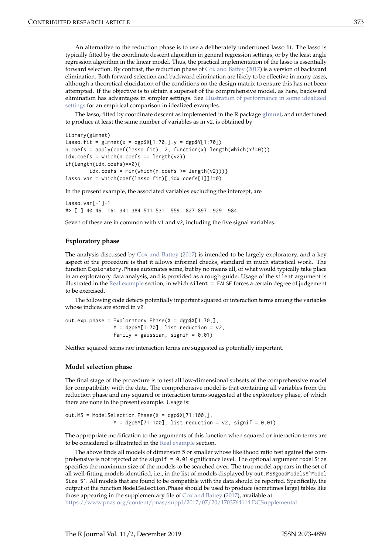<span id="page-3-0"></span>An alternative to the reduction phase is to use a deliberately undertuned lasso fit. The lasso is typically fitted by the coordinate descent algorithm in general regression settings, or by the least angle regression algorithm in the linear model. Thus, the practical implementation of the lasso is essentially forward selection. By contrast, the reduction phase of [Cox and Battey](#page-8-0) [\(2017\)](#page-8-0) is a version of backward elimination. Both forward selection and backward elimination are likely to be effective in many cases, although a theoretical elucidation of the conditions on the design matrix to ensure this has not been attempted. If the objective is to obtain a superset of the comprehensive model, as here, backward elimination has advantages in simpler settings. See [Illustration of performance in some idealized](#page-4-0) [settings](#page-4-0) for an empirical comparison in idealized examples.

The lasso, fitted by coordinate descent as implemented in the R package **[glmnet](https://CRAN.R-project.org/package=glmnet)**, and undertuned to produce at least the same number of variables as in v2, is obtained by

```
library(glmnet)
lasso.fit = glmnet(x = dgp$X[1:70,], y = dgp$Y[1:70])n.\text{coeffs} = apply(\text{coeff}(\text{lasso.fit}), 2, function(x) length(which(x!=0)))idx.coefs = which(n.coefs == length(v2))if(length(idx.coefs)==0){
         idx.\text{coeffs} = min(\text{which} (n.\text{coeffs} >= length(v2))))lasso.var = which(coef(lasso.fit)[,idx.coefs[1]]!=0)
```
In the present example, the associated variables excluding the intercept, are

```
lasso.var[-1]-1
#> [1] 40 46 161 341 384 511 531 559 827 897 929 984
```
Seven of these are in common with  $v1$  and  $v2$ , including the five signal variables.

## **Exploratory phase**

The analysis discussed by  $\cos x$  and Battey [\(2017\)](#page-8-0) is intended to be largely exploratory, and a key aspect of the procedure is that it allows informal checks, standard in much statistical work. The function Exploratory.Phase automates some, but by no means all, of what would typically take place in an exploratory data analysis, and is provided as a rough guide. Usage of the silent argument is illustrated in the [Real example](#page-5-0) section, in which silent = FALSE forces a certain degree of judgement to be exercised.

The following code detects potentially important squared or interaction terms among the variables whose indices are stored in v2.

```
out.exp.phase = Exploratory.Phase(X = dgp$X[1:70,],Y = dgp$Y[1:70], list-reduction = v2,family = gaussian, signif = 0.01)
```
Neither squared terms nor interaction terms are suggested as potentially important.

#### **Model selection phase**

The final stage of the procedure is to test all low-dimensional subsets of the comprehensive model for compatibility with the data. The comprehensive model is that containing all variables from the reduction phase and any squared or interaction terms suggested at the exploratory phase, of which there are none in the present example. Usage is:

out.MS = ModelSelection.Phase( $X = dgpsX[71:100,$ ],  $Y = dgp$Y[71:100], list-reduction = v2, signif = 0.01)$ 

The appropriate modification to the arguments of this function when squared or interaction terms are to be considered is illustrated in the [Real example](#page-5-0) section.

The above finds all models of dimension 5 or smaller whose likelihood ratio test against the comprehensive is not rejected at the signif  $= 0.01$  significance level. The optional argument modelSize specifies the maximum size of the models to be searched over. The true model appears in the set of all well-fitting models identified, i.e., in the list of models displayed by out.MS\$goodModels\$`Model Size 5`. All models that are found to be compatible with the data should be reported. Specifically, the output of the function ModelSelection.Phase should be used to produce (sometimes large) tables like those appearing in the supplementary file of [Cox and Battey](#page-8-0) [\(2017\)](#page-8-0), available at:

<https://www.pnas.org/content/pnas/suppl/2017/07/20/1703764114.DCSupplemental>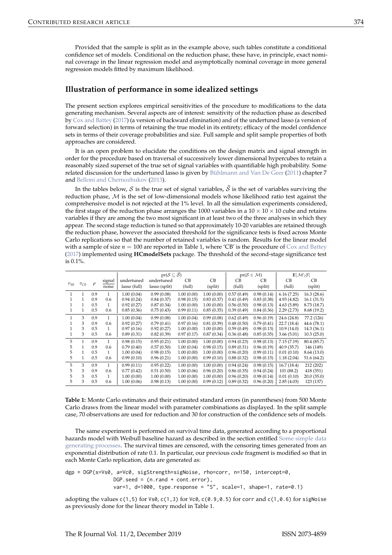<span id="page-4-1"></span>Provided that the sample is split as in the example above, such tables constitute a conditional confidence set of models. Conditional on the reduction phase, these have, in principle, exact nominal coverage in the linear regression model and asymptotically nominal coverage in more general regression models fitted by maximum likelihood.

## <span id="page-4-0"></span>**Illustration of performance in some idealized settings**

The present section explores empirical sensitivities of the procedure to modifications to the data generating mechanism. Several aspects are of interest: sensitivity of the reduction phase as described by [Cox and Battey](#page-8-0) [\(2017\)](#page-8-0) (a version of backward elimination) and of the undertuned lasso (a version of forward selection) in terms of retaining the true model in its entirety; efficacy of the model confidence sets in terms of their coverage probabilities and size. Full sample and split sample properties of both approaches are considered.

It is an open problem to elucidate the conditions on the design matrix and signal strength in order for the procedure based on traversal of successively lower dimensional hypercubes to retain a reasonably sized superset of the true set of signal variables with quantifiable high probability. Some related discussion for the undertuned lasso is given by [Bühlmann and Van De Geer](#page-8-10) [\(2011\)](#page-8-10) chapter 7 and [Belloni and Chernozhukov](#page-8-11) [\(2013\)](#page-8-11).

In the tables below, S is the true set of signal variables,  $\hat{S}$  is the set of variables surviving the reduction phase,  $M$  is the set of low-dimensional models whose likelihood ratio test against the comprehensive model is not rejected at the 1% level. In all the simulation experiments considered, the first stage of the reduction phase arranges the 1000 variables in a  $10 \times 10 \times 10$  cube and retains variables if they are among the two most significant in at least two of the three analyses in which they appear. The second stage reduction is tuned so that approximately 10-20 variables are retained through the reduction phase, however the associated threshold for the significance tests is fixed across Monte Carlo replications so that the number of retained variables is random. Results for the linear model with a sample of size  $n = 100$  are reported in Table 1, where 'CB' is the procedure of [Cox and Battey](#page-8-0) [\(2017\)](#page-8-0) implemented using **HCmodelSets** package. The threshold of the second-stage significance test is 0.1%.

|          |          |        |                 |              | $pr(S \subseteq \widehat{S})$ |            |            | $pr(S \in \mathcal{M})$ | $\mathbb{E} \mathcal{M}\backslash\mathcal{S} $ |             |             |  |
|----------|----------|--------|-----------------|--------------|-------------------------------|------------|------------|-------------------------|------------------------------------------------|-------------|-------------|--|
| $v_{S0}$ | $v_{C0}$ | $\rho$ | signal<br>noise | undertuned   | undertuned                    | CВ         | CB         | CВ                      | <b>CB</b>                                      | CВ          | CВ          |  |
|          |          |        |                 | lasso (full) | lasso (split)                 | (full)     | (split)    | (full)                  | (split)                                        | (full)      | (split)     |  |
| 1        |          | 0.9    | 1               | 1.00(0.04)   | 0.99(0.08)                    | 1.00(0.00) | 1.00(0.00) | 0.57(0.49)              | 0.98(0.14)                                     | 6.16(7.25)  | 16.3(28.6)  |  |
|          |          | 0.9    | 0.6             | 0.94(0.24)   | 0.84(0.37)                    | 0.98(0.15) | 0.83(0.37) | 0.41(0.49)              | 0.83(0.38)                                     | 4.93(4.82)  | 16.1(31.5)  |  |
|          |          | 0.5    | 1               | 0.92(0.27)   | 0.87(0.34)                    | 1.00(0.00) | 1.00(0.00) | 0.56(0.50)              | 0.98(0.13)                                     | 4.63(5.89)  | 8.73 (18.7) |  |
| 1        |          | 0.5    | 0.6             | 0.85(0.36)   | 0.75(0.43)                    | 0.99(0.11) | 0.85(0.35) | 0.39(0.49)              | 0.84(0.36)                                     | 2.29(2.73)  | 8.68 (19.2) |  |
| 1        | 3        | 0.9    | 1               | 1.00(0.04)   | 0.99(0.08)                    | 1.00(0.04) | 0.99(0.08) | 0.62(0.49)              | 0.96(0.19)                                     | 24.6 (24.8) | 77.2 (126)  |  |
|          | 3        | 0.9    | 0.6             | 0.92(0.27)   | 0.79(0.41)                    | 0.97(0.16) | 0.81(0.39) | 0.48(0.50)              | 0.79(0.41)                                     | 22.7 (18.4) | 44.6 (78.1) |  |
|          | 3        | 0.5    | 1               | 0.97(0.16)   | 0.92(0.27)                    | 1.00(0.00) | 1.00(0.00) | 0.59(0.49)              | 0.98(0.13)                                     | 10.9(14.0)  | 14.3(36.1)  |  |
| 1        | 3        | 0.5    | 0.6             | 0.89(0.31)   | 0.82(0.39)                    | 0.97(0.17) | 0.87(0.34) | 0.36(0.48)              | 0.85(0.35)                                     | 3.66(5.01)  | 10.3(25.0)  |  |
| 5        | 1        | 0.9    | 1               | 0.98(0.15)   | 0.95(0.21)                    | 1.00(0.00) | 1.00(0.00) | 0.94(0.23)              | 0.98(0.13)                                     | 7.15(7.19)  | 80.4 (85.7) |  |
| 5        |          | 0.9    | 0.6             | 0.79(0.40)   | 0.57(0.50)                    | 1.00(0.04) | 0.98(0.15) | 0.89(0.31)              | 0.96(0.19)                                     | 40.9 (35.7) | 146 (149)   |  |
| 5        |          | 0.5    | 1               | 1.00(0.04)   | 0.98(0.15)                    | 1.00(0.00) | 1.00(0.00) | 0.96(0.20)              | 0.99(0.11)                                     | 0.01(0.10)  | 8.64 (13.0) |  |
| 5        |          | 0.5    | 0.6             | 0.99(0.10)   | 0.96(0.21)                    | 1.00(0.00) | 0.99(0.10) | 0.88(0.32)              | 0.98(0.15)                                     | 1.18(2.04)  | 51.6(64.2)  |  |
| 5        | 3        | 0.9    | 1               | 0.99(0.11)   | 0.95(0.22)                    | 1.00(0.00) | 1.00(0.00) | 0.94(0.24)              | 0.98(0.15)                                     | 16.7(18.4)  | 212 (202)   |  |
| 5        | 3        | 0.9    | 0.6             | 0.77(0.42)   | 0.51(0.50)                    | 1.00(0.06) | 0.96(0.20) | 0.86(0.35)              | 0.94(0.24)                                     | 101 (88.2)  | 418 (351)   |  |
| 5        | 3        | 0.5    | 1               | 1.00(0.00)   | 1.00(0.00)                    | 1.00(0.00) | 1.00(0.00) | 0.96(0.20)              | 0.98(0.14)                                     | 0.01(0.10)  | 20.0(35.0)  |  |
| 5.       | 3        | 0.5    | 0.6             | 1.00(0.06)   | 0.98(0.13)                    | 1.00(0.00) | 0.99(0.12) | 0.89(0.32)              | 0.96(0.20)                                     | 2.85(4.03)  | 123 (137)   |  |

**Table 1:** Monte Carlo estimates and their estimated standard errors (in parentheses) from 500 Monte Carlo draws from the linear model with parameter combinations as displayed. In the split sample case, 70 observations are used for reduction and 30 for construction of the confidence sets of models.

The same experiment is performed on survival time data, generated according to a proportional hazards model with Weibull baseline hazard as described in the section entitled [Some simple data](#page-1-0) [generating processes.](#page-1-0) The survival times are censored, with the censoring times generated from an exponential distribution of rate 0.1. In particular, our previous code fragment is modified so that in each Monte Carlo replication, data are generated as:

dgp = DGP(s=Vs0, a=Vc0, sigStrength=sigNoise, rho=corr, n=150, intercept=0, DGP.seed = (n.rand + cont.error), var=1,  $d=1000$ , type.response = "S", scale=1, shape=1, rate=0.1)

adopting the values  $c(1,5)$  for Vs0,  $c(1,3)$  for Vc0,  $c(0.9,0.5)$  for corr and  $c(1,0.6)$  for sigNoise as previously done for the linear theory model in Table 1.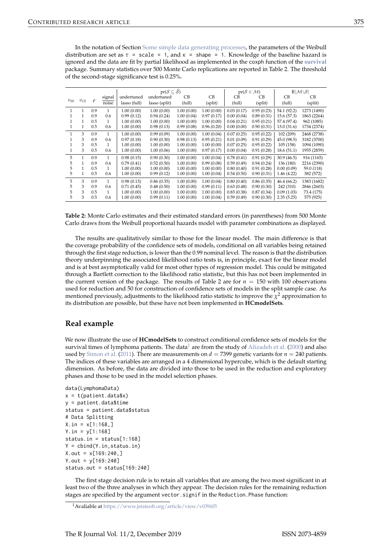<span id="page-5-1"></span>In the notation of Section [Some simple data generating processes,](#page-1-0) the parameters of the Weibull distribution are set as  $\tau$  = scale = 1, and  $\kappa$  = shape = 1. Knowledge of the baseline hazard is ignored and the data are fit by partial likelihood as implemented in the coxph function of the **[survival](https://CRAN.R-project.org/package=survival)** package. Summary statistics over 500 Monte Carlo replications are reported in Table 2. The threshold of the second-stage significance test is 0.25%.

|          |          |        |              |              | $pr(S \subseteq \widehat{S})$ |            |            | $pr(S \in \mathcal{M})$ | $\mathbb{E} \mathcal{M}\backslash\mathcal{S} $ |             |             |
|----------|----------|--------|--------------|--------------|-------------------------------|------------|------------|-------------------------|------------------------------------------------|-------------|-------------|
| $v_{S0}$ | $v_{C0}$ | $\rho$ | signal       | undertuned   | undertuned                    | CВ         | CB         | <b>CB</b>               | CВ                                             | CВ          | CВ          |
|          |          |        | noise        | lasso (full) | lasso (split)                 | (full)     | (split)    | (full)                  | (split)                                        | (full)      | (split)     |
| 1        | 1        | 0.9    | 1            | 1.00(0.00)   | 1.00(0.00)                    | 1.00(0.00) | 1.00(0.00) | 0.03(0.17)              | 0.95(0.23)                                     | 54.1 (92.2) | 1273 (1490) |
|          |          | 0.9    | 0.6          | 0.99(0.12)   | 0.94(0.24)                    | 1.00(0.04) | 0.97(0.17) | 0.00(0.04)              | 0.89(0.31)                                     | 15.6(57.3)  | 1863 (2264) |
|          |          | 0.5    | 1            | 1.00(0.00)   | 1.00(0.00)                    | 1.00(0.00) | 1.00(0.00) | 0.04(0.21)              | 0.95(0.21)                                     | 57.4 (97.4) | 962 (1085)  |
|          |          | 0.5    | 0.6          | 1.00(0.00)   | 0.98(0.13)                    | 0.99(0.08) | 0.96(0.20) | 0.00(0.00)              | 0.90(0.31)                                     | 13.0(31.6)  | 1734 (2374) |
| 1        | 3        | 0.9    | 1            | 1.00(0.00)   | 0.99(0.09)                    | 1.00(0.00) | 1.00(0.04) | 0.07(0.25)              | 0.95(0.22)                                     | 102 (209)   | 2468 (2738) |
|          | 3        | 0.9    | 0.6          | 0.97(0.18)   | 0.90(0.30)                    | 0.98(0.13) | 0.95(0.21) | 0.01(0.09)              | 0.91(0.29)                                     | 45.0 (98.5) | 3182 (3700) |
|          | 3        | 0.5    | 1            | 1.00(0.00)   | 1.00(0.00)                    | 1.00(0.00) | 1.00(0.00) | 0.07(0.25)              | 0.95(0.22)                                     | 105 (158)   | 1094 (1090) |
|          | 3        | 0.5    | 0.6          | 1.00(0.00)   | 1.00(0.06)                    | 1.00(0.00) | 0.97(0.17) | 0.00(0.04)              | 0.91(0.28)                                     | 18.6(51.1)  | 1955 (2859) |
| 5        | 1        | 0.9    | 1            | 0.98(0.15)   | 0.90(0.30)                    | 1.00(0.00) | 1.00(0.04) | 0.78(0.41)              | 0.91(0.29)                                     | 30.9(46.5)  | 916 (1165)  |
| 5        |          | 0.9    | 0.6          | 0.79(0.41)   | 0.52(0.50)                    | 1.00(0.00) | 0.99(0.08) | 0.59(0.49)              | 0.94(0.24)                                     | 136 (180)   | 2216 (2390) |
| 5        |          | 0.5    | 1            | 1.00(0.00)   | 1.00(0.00)                    | 1.00(0.00) | 1.00(0.00) | 0.80(0.40)              | 0.91(0.28)                                     | 0.00(0.09)  | 59.0 (118)  |
| 5        |          | 0.5    | 0.6          | 1.00(0.00)   | 0.99(0.12)                    | 1.00(0.00) | 1.00(0.04) | 0.54(0.50)              | 0.90(0.31)                                     | 1.46(4.22)  | 382 (572)   |
| 5        | 3        | 0.9    | 1            | 0.98(0.13)   | 0.86(0.35)                    | 1.00(0.00) | 1.00(0.04) | 0.80(0.40)              | 0.86(0.35)                                     | 46.4 (66.2) | 1383 (1682) |
| 5        | 3        | 0.9    | 0.6          | 0.71(0.45)   | 0.48(0.50)                    | 1.00(0.00) | 0.99(0.11) | 0.63(0.48)              | 0.90(0.30)                                     | 242 (310)   | 2846 (2603) |
| 5        | 3        | 0.5    | $\mathbf{1}$ | 1.00(0.00)   | 1.00(0.00)                    | 1.00(0.00) | 1.00(0.00) | 0.83(0.38)              | 0.87(0.34)                                     | 0.09(1.03)  | 73.4 (175)  |
| 5        | 3        | 0.5    | 0.6          | 1.00(0.00)   | 0.99(0.11)                    | 1.00(0.00) | 1.00(0.04) | 0.59(0.49)              | 0.90(0.30)                                     | 2.35(5.25)  | 575 (925)   |

**Table 2:** Monte Carlo estimates and their estimated standard errors (in parentheses) from 500 Monte Carlo draws from the Weibull proportional hazards model with parameter combinations as displayed.

The results are qualitatively similar to those for the linear model. The main difference is that the coverage probability of the confidence sets of models, conditional on all variables being retained through the first stage reduction, is lower than the 0.99 nominal level. The reason is that the distribution theory underpinning the associated likelihood ratio tests is, in principle, exact for the linear model and is at best asymptotically valid for most other types of regression model. This could be mitigated through a Bartlett correction to the likelihood ratio statistic, but this has not been implemented in the current version of the package. The results of Table 2 are for  $n = 150$  with 100 observations used for reduction and 50 for construction of confidence sets of models in the split sample case. As mentioned previously, adjustments to the likelihood ratio statistic to improve the  $\chi^2$  approximation to its distribution are possible, but these have not been implemented in **HCmodelSets**.

# <span id="page-5-0"></span>**Real example**

We now illustrate the use of **HCmodelSets** to construct conditional confidence sets of models for the survival times of lymphoma patients. The data<sup>[1](#page-0-1)</sup> are from the study of [Alizadeh et al.](#page-8-12) [\(2000\)](#page-8-12) and also used by [Simon et al.](#page-9-2) [\(2011\)](#page-9-2). There are measurements on  $d = 7399$  genetic variants for  $n = 240$  patients. The indices of these variables are arranged in a 4 dimensional hypercube, which is the default starting dimension. As before, the data are divided into those to be used in the reduction and exploratory phases and those to be used in the model selection phases.

```
data(LymphomaData)
x = t(patient.data$x)
y = patient.data$time
status = patient.data$status
# Data Splitting
X.in = x[1:168, ]Y.in = v[1:168]status.in = status[1:168]
Y = \text{cbind}(Y.in, status.in)X.out = x[169:240.]Y.out = V[169:240]status.out = status[169:240]
```
The first stage decision rule is to retain all variables that are among the two most significant in at least two of the three analyses in which they appear. The decision rules for the remaining reduction stages are specified by the argument vector.signif in the Reduction.Phase function:

<sup>1</sup>Avaliable at <https://www.jstatsoft.org/article/view/v039i05>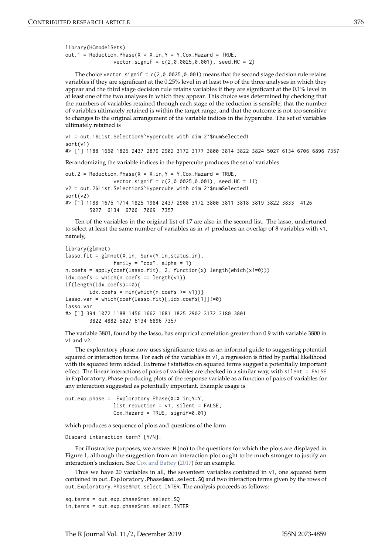<span id="page-6-0"></span>library(HCmodelSets) out.1 = Reduction. Phase( $X = X.in, Y = Y, Cox$ . Hazard = TRUE, vector.signif = c(2,0.0025,0.001), seed.HC = 2)

The choice vector.signif =  $c(2, 0.0025, 0.001)$  means that the second stage decision rule retains variables if they are significant at the 0.25% level in at least two of the three analyses in which they appear and the third stage decision rule retains variables if they are significant at the 0.1% level in at least one of the two analyses in which they appear. This choice was determined by checking that the numbers of variables retained through each stage of the reduction is sensible, that the number of variables ultimately retained is within the target range, and that the outcome is not too sensitive to changes to the original arrangement of the variable indices in the hypercube. The set of variables ultimately retained is

```
v1 = out.1$List.Selection$`Hypercube with dim 2`$numSelected1
sort(v1)
#> [1] 1188 1660 1825 2437 2879 2902 3172 3177 3800 3814 3822 3824 5027 6134 6706 6896 7357
```
Rerandomizing the variable indices in the hypercube produces the set of variables

```
out.2 = Reduction. Phase(X = X. in, Y = Y, Cox. Hazard = TRUE,
                vector.signif = c(2,0.0025,0.001), seed.HC = 11)
v2 = out.2$List.Selection$`Hypercube with dim 2`$numSelected1
sort(v2)
#> [1] 1188 1675 1714 1825 1984 2437 2900 3172 3800 3811 3818 3819 3822 3833 4126
        5027 6134 6706 7069 7357
```
Ten of the variables in the original list of 17 are also in the second list. The lasso, undertuned to select at least the same number of variables as in v1 produces an overlap of 8 variables with v1, namely,

```
library(glmnet)
lasso.fit = glmnet(X.in, Surv(Y.in,status.in),
                 family = "\text{cox}", alpha = 1)
n.coefs = apply(coef(lasso.fit), 2, function(x) length(which(x!=0)))
idx.\text{coeffs} = \text{which}(n.\text{coeffs} == \text{length}(v1))if(length(idx.coefs)==0){
        idx.coefs = min(which(n.coefs >= v1))lasso.var = which(coef(lasso.fit)[,idx.coefs[1]]!=0)
lasso.var
#> [1] 394 1072 1188 1456 1662 1681 1825 2902 3172 3180 3801
        3822 4882 5027 6134 6896 7357
```
The variable 3801, found by the lasso, has empirical correlation greater than 0.9 with variable 3800 in v1 and v2.

The exploratory phase now uses significance tests as an informal guide to suggesting potential squared or interaction terms. For each of the variables in v1, a regression is fitted by partial likelihood with its squared term added. Extreme *t* statistics on squared terms suggest a potentially important effect. The linear interactions of pairs of variables are checked in a similar way, with silent = FALSE in Exploratory.Phase producing plots of the response variable as a function of pairs of variables for any interaction suggested as potentially important. Example usage is

out.exp.phase = Exploratory.Phase(X=X.in,Y=Y, list.reduction = v1, silent = FALSE, Cox.Hazard = TRUE, signif=0.01)

which produces a sequence of plots and questions of the form

#### Discard interaction term? [Y/N].

For illustrative purposes, we answer N (no) to the questions for which the plots are displayed in Figure 1, although the suggestion from an interaction plot ought to be much stronger to justify an interaction's inclusion. See [Cox and Battey](#page-8-0) [\(2017\)](#page-8-0) for an example.

Thus we have 20 variables in all, the seventeen variables contained in v1, one squared term contained in out.Exploratory.Phase\$mat.select.SQ and two interaction terms given by the rows of out.Exploratory.Phase\$mat.select.INTER. The analysis proceeds as follows:

sq.terms = out.exp.phase\$mat.select.SQ in.terms = out.exp.phase\$mat.select.INTER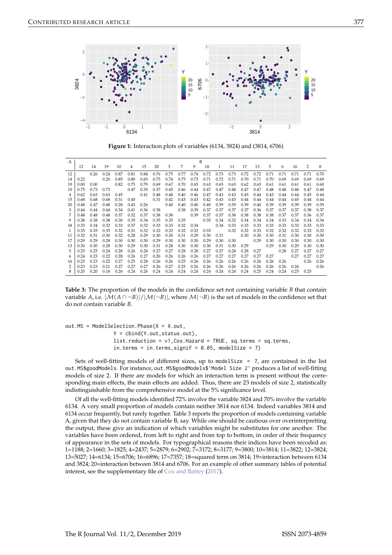<span id="page-7-0"></span>

**Figure 1:** Interaction plots of variables (6134, 3824) and (3814, 6706)

| A  |      | B    |      |      |      |      |      |      |      |      |      |              |      |      |      |      |      |      |      |      |
|----|------|------|------|------|------|------|------|------|------|------|------|--------------|------|------|------|------|------|------|------|------|
|    | 12   | 14   | 19   | 10   | 4    | 15   | 20   | 3    | 7    | 9    | 18   | $\mathbf{1}$ | 11   | 17   | 13   | 5    | 6    | 16   | 2    | 8    |
| 12 |      | 0.26 | 0.24 | 0.87 | 0.81 | 0.84 | 0.76 | 0.75 | 0.77 | 0.74 | 0.72 | 0.73         | 0.73 | 0.72 | 0.72 | 0.71 | 0.71 | 0.71 | 0.71 | 0.70 |
| 14 | 0.22 |      | 0.20 | 0.85 | 0.80 | 0.83 | 0.75 | 0.74 | 0.75 | 0.73 | 0.71 | 0.72         | 0.71 | 0.70 | 0.71 | 0.70 | 0.69 | 0.69 | 0.69 | 0.69 |
| 19 | 0.00 | 0.00 |      | 0.82 | 0.75 | 0.79 | 0.69 | 0.67 | 0.70 | 0.65 | 0.63 | 0.65         | 0.63 | 0.62 | 0.63 | 0.61 | 0.61 | 0.61 | 0.61 | 0.60 |
| 10 | 0.75 | 0.73 | 0.73 |      | 0.47 | 0.35 | 0.37 | 0.45 | 0.46 | 0.44 | 0.47 | 0.47         | 0.48 | 0.47 | 0.47 | 0.48 | 0.48 | 0.48 | 0.47 | 0.48 |
|    | 0.62 | 0.63 | 0.63 | 0.45 |      | 0.41 | 0.48 | 0.48 | 0.40 | 0.46 | 0.47 | 0.43         | 0.43 | 0.45 | 0.44 | 0.43 | 0.44 | 0.44 | 0.45 | 0.44 |
| 15 | 0.68 | 0.68 | 0.68 | 0.31 | 0.40 |      | 0.31 | 0.42 | 0.43 | 0.43 | 0.42 | 0.43         | 0.43 | 0.44 | 0.44 | 0.44 | 0.44 | 0.45 | 0.44 | 0.44 |
| 20 | 0.48 | 0.47 | 0.48 | 0.28 | 0.43 | 0.26 |      | 0.40 | 0.40 | 0.40 | 0.40 | 0.39         | 0.39 | 0.39 | 0.40 | 0.39 | 0.39 | 0.39 | 0.39 | 0.39 |
|    | 0.44 | 0.44 | 0.44 | 0.34 | 0.41 | 0.36 | 0.38 |      | 0.38 | 0.39 | 0.37 | 0.37         | 0.37 | 0.37 | 0.36 | 0.37 | 0.37 | 0.37 | 0.38 | 0.37 |
|    | 0.48 | 0.48 | 0.48 | 0.37 | 0.32 | 0.37 | 0.38 | 0.38 |      | 0.39 | 0.37 | 0.37         | 0.38 | 0.38 | 0.38 | 0.38 | 0.37 | 0.37 | 0.36 | 0.37 |
| 9  | 0.38 | 0.38 | 0.38 | 0.30 | 0.35 | 0.34 | 0.35 | 0.35 | 0.35 |      | 0.35 | 0.34         | 0.32 | 0.34 | 0.34 | 0.34 | 0.33 | 0.34 | 0.34 | 0.34 |
| 18 | 0.33 | 0.34 | 0.32 | 0.33 | 0.37 | 0.32 | 0.33 | 0.33 | 0.32 | 0.34 |      | 0.34         | 0.33 | 0.33 | 0.33 | 0.33 | 0.33 | 0.33 | 0.33 | 0.33 |
|    | 0.35 | 0.35 | 0.35 | 0.32 | 0.31 | 0.32 | 0.32 | 0.32 | 0.32 | 0.32 | 0.33 |              | 0.32 | 0.32 | 0.33 | 0.32 | 0.32 | 0.32 | 0.32 | 0.32 |
| 11 | 0.32 | 0.31 | 0.30 | 0.32 | 0.28 | 0.29 | 0.30 | 0.30 | 0.31 | 0.29 | 0.30 | 0.31         |      | 0.30 | 0.30 | 0.30 | 0.31 | 0.30 | 0.30 | 0.30 |
| 17 | 0.29 | 0.29 | 0.28 | 0.30 | 0.30 | 0.30 | 0.29 | 0.30 | 0.30 | 0.30 | 0.29 | 0.30         | 0.30 |      | 0.29 | 0.30 | 0.30 | 0.30 | 0.30 | 0.30 |
| 13 | 0.30 | 0.30 | 0.28 | 0.30 | 0.29 | 0.30 | 0.31 | 0.28 | 0.30 | 0.30 | 0.30 | 0.31         | 0.30 | 0.29 |      | 0.29 | 0.30 | 0.29 | 0.30 | 0.30 |
|    | 0.25 | 0.25 | 0.24 | 0.28 | 0.26 | 0.28 | 0.27 | 0.27 | 0.28 | 0.28 | 0.27 | 0.27         | 0.28 | 0.28 | 0.27 |      | 0.28 | 0.27 | 0.27 | 0.27 |
| h  | 0.24 | 0.23 | 0.22 | 0.28 | 0.26 | 0.27 | 0.26 | 0.26 | 0.26 | 0.26 | 0.27 | 0.27         | 0.27 | 0.27 | 0.27 | 0.27 |      | 0.27 | 0.27 | 0.27 |
| 16 | 0.23 | 0.23 | 0.22 | 0.27 | 0.25 | 0.28 | 0.26 | 0.26 | 0.25 | 0.26 | 0.26 | 0.26         | 0.26 | 0.26 | 0.26 | 0.26 | 0.26 |      | 0.26 | 0.26 |
|    | 0.23 | 0.23 | 0.21 | 0.27 | 0.27 | 0.27 | 0.26 | 0.27 | 0.25 | 0.26 | 0.26 | 0.26         | 0.26 | 0.26 | 0.26 | 0.26 | 0.26 | 0.26 |      | 0.26 |
| 8  | 0.20 | 0.20 | 0.18 | 0.26 | 0.24 | 0.26 | 0.24 | 0.24 | 0.24 | 0.24 | 0.24 | 0.24         | 0.24 | 0.24 | 0.25 | 0.24 | 0.24 | 0.25 | 0.25 |      |

**Table 3:** The proportion of the models in the confidence set not containing variable *B* that contain variable *A*, i.e.  $|M(A \cap \neg B)| / |M(\neg B)|$ , where  $M(\neg B)$  is the set of models in the confidence set that do not contain variable *B*.

out.MS = ModelSelection.Phase(X = X.out, Y = cbind(Y.out,status.out), list.reduction = v1,Cox.Hazard = TRUE, sq.terms = sq.terms, in.terms = in.terms, signif =  $0.05$ , modelSize = 7)

Sets of well-fitting models of different sizes, up to model Size  $= 7$ , are contained in the list out.MS\$goodModels. For instance, out.MS\$goodModels\$`Model Size 2` produces a list of well-fitting models of size 2. If there are models for which an interaction term is present without the corresponding main effects, the main effects are added. Thus, there are 23 models of size 2, statistically indistinguishable from the comprehensive model at the 5% significance level.

Of all the well-fitting models identified 72% involve the variable 3824 and 70% involve the variable 6134. A very small proportion of models contain neither 3814 nor 6134. Indeed variables 3814 and 6134 occur frequently, but rarely together. Table 3 reports the proportion of models containing variable A, given that they do not contain variable B, say. While one should be cautious over overinterpretting the output, these give an indication of which variables might be substitutes for one another. The variables have been ordered, from left to right and from top to bottom, in order of their frequency of appearance in the sets of models. For typographical reasons their indices have been recoded as: 1=1188; 2=1660; 3=1825; 4=2437; 5=2879; 6=2902; 7=3172; 8=3177; 9=3800; 10=3814; 11=3822; 12=3824; 13=5027; 14=6134; 15=6706; 16=6896; 17=7357; 18=squared term on 3814; 19=interaction between 6134 and 3824; 20=interaction between 3814 and 6706. For an example of other summary tables of potential interest, see the supplementary file of [Cox and Battey](#page-8-0) [\(2017\)](#page-8-0).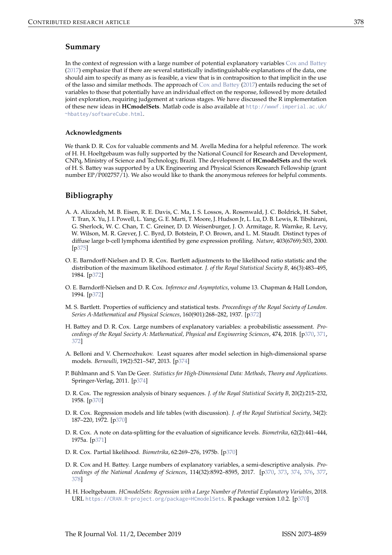# <span id="page-8-13"></span>**Summary**

In the context of regression with a large number of potential explanatory variables [Cox and Battey](#page-8-0) [\(2017\)](#page-8-0) emphasize that if there are several statistically indistinguishable explanations of the data, one should aim to specify as many as is feasible, a view that is in contraposition to that implicit in the use of the lasso and similar methods. The approach of [Cox and Battey](#page-8-0) [\(2017\)](#page-8-0) entails reducing the set of variables to those that potentially have an individual effect on the response, followed by more detailed joint exploration, requiring judgement at various stages. We have discussed the R implementation of these new ideas in **HCmodelSets**. Matlab code is also available at [http://wwwf.imperial.ac.uk/](http://wwwf.imperial.ac.uk/~hbattey/softwareCube.html) [~hbattey/softwareCube.html](http://wwwf.imperial.ac.uk/~hbattey/softwareCube.html).

## **Acknowledgments**

We thank D. R. Cox for valuable comments and M. Avella Medina for a helpful reference. The work of H. H. Hoeltgebaum was fully supported by the National Council for Research and Development, CNPq, Ministry of Science and Technology, Brazil. The development of **HCmodelSets** and the work of H. S. Battey was supported by a UK Engineering and Physical Sciences Research Fellowship (grant number EP/P002757/1). We also would like to thank the anonymous referees for helpful comments.

# **Bibliography**

- <span id="page-8-12"></span>A. A. Alizadeh, M. B. Eisen, R. E. Davis, C. Ma, I. S. Lossos, A. Rosenwald, J. C. Boldrick, H. Sabet, T. Tran, X. Yu, J. I. Powell, L. Yang, G. E. Marti, T. Moore, J. Hudson Jr, L. Lu, D. B. Lewis, R. Tibshirani, G. Sherlock, W. C. Chan, T. C. Greiner, D. D. Weisenburger, J. O. Armitage, R. Warnke, R. Levy, W. Wilson, M. R. Grever, J. C. Byrd, D. Botstein, P. O. Brown, and L. M. Staudt. Distinct types of diffuse large b-cell lymphoma identified by gene expression profiling. *Nature*, 403(6769):503, 2000. [[p375\]](#page-5-1)
- <span id="page-8-8"></span>O. E. Barndorff-Nielsen and D. R. Cox. Bartlett adjustments to the likelihood ratio statistic and the distribution of the maximum likelihood estimator. *J. of the Royal Statistical Society B*, 46(3):483–495, 1984. [[p372\]](#page-2-0)
- <span id="page-8-9"></span>O. E. Barndorff-Nielsen and D. R. Cox. *Inference and Asymptotics*, volume 13. Chapman & Hall London, 1994. [[p372\]](#page-2-0)
- <span id="page-8-7"></span>M. S. Bartlett. Properties of sufficiency and statistical tests. *Proceedings of the Royal Society of London. Series A-Mathematical and Physical Sciences*, 160(901):268–282, 1937. [[p372\]](#page-2-0)
- <span id="page-8-5"></span>H. Battey and D. R. Cox. Large numbers of explanatory variables: a probabilistic assessment. *Proceedings of the Royal Society A: Mathematical, Physical and Engineering Sciences*, 474, 2018. [[p370,](#page-0-2) [371,](#page-1-1) [372\]](#page-2-0)
- <span id="page-8-11"></span>A. Belloni and V. Chernozhukov. Least squares after model selection in high-dimensional sparse models. *Bernoulli*, 19(2):521–547, 2013. [[p374\]](#page-4-1)
- <span id="page-8-10"></span>P. Bühlmann and S. Van De Geer. *Statistics for High-Dimensional Data: Methods, Theory and Applications*. Springer-Verlag, 2011. [[p374\]](#page-4-1)
- <span id="page-8-2"></span>D. R. Cox. The regression analysis of binary sequences. *J. of the Royal Statistical Society B*, 20(2):215–232, 1958. [[p370\]](#page-0-2)
- <span id="page-8-3"></span>D. R. Cox. Regression models and life tables (with discussion). *J. of the Royal Statistical Society*, 34(2): 187–220, 1972. [[p370\]](#page-0-2)
- <span id="page-8-6"></span>D. R. Cox. A note on data-splitting for the evaluation of significance levels. *Biometrika*, 62(2):441–444, 1975a. [[p371\]](#page-1-1)
- <span id="page-8-4"></span>D. R. Cox. Partial likelihood. *Biometrika*, 62:269–276, 1975b. [[p370\]](#page-0-2)
- <span id="page-8-0"></span>D. R. Cox and H. Battey. Large numbers of explanatory variables, a semi-descriptive analysis. *Proceedings of the National Academy of Sciences*, 114(32):8592–8595, 2017. [[p370,](#page-0-2) [373,](#page-3-0) [374,](#page-4-1) [376,](#page-6-0) [377,](#page-7-0) [378\]](#page-8-13)
- <span id="page-8-1"></span>H. H. Hoeltgebaum. *HCmodelSets: Regression with a Large Number of Potential Explanatory Variables*, 2018. URL <https://CRAN.R-project.org/package=HCmodelSets>. R package version 1.0.2. [[p370\]](#page-0-2)